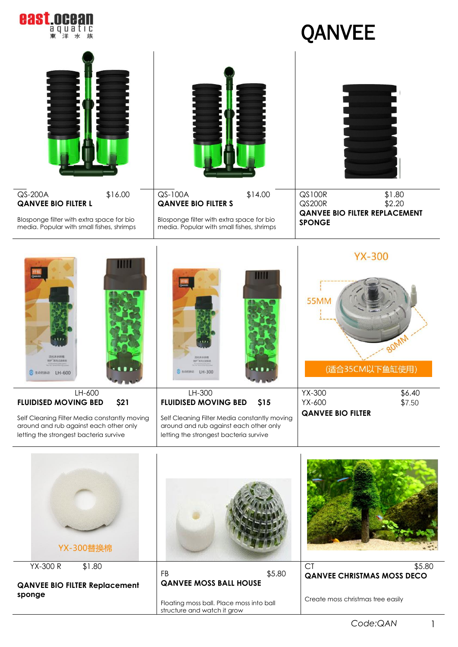

## QANVEE

| QS-200A<br>\$16.00<br><b>QANVEE BIO FILTER L</b>                                                                                                                                    | QS-100A<br>\$14.00<br><b>QANVEE BIO FILTER S</b>                                                                                                                                        | QS100R<br>\$1.80<br>\$2.20<br><b>QS200R</b>                                                                                |
|-------------------------------------------------------------------------------------------------------------------------------------------------------------------------------------|-----------------------------------------------------------------------------------------------------------------------------------------------------------------------------------------|----------------------------------------------------------------------------------------------------------------------------|
| Blosponge filter with extra space for bio<br>media. Popular with small fishes, shrimps                                                                                              | Blosponge filter with extra space for bio<br>media. Popular with small fishes, shrimps                                                                                                  | <b>QANVEE BIO FILTER REPLACEMENT</b><br><b>SPONGE</b>                                                                      |
| 没亿米水妖精<br>日中 新きにの)主張が<br>LH-600<br>生命的脉动<br>LH-600<br><b>FLUIDISED MOVING BED</b><br>\$21<br>Self Cleaning Filter Media constantly moving<br>around and rub against each other only | 化环水环阀<br><b>N'AIRICEAR</b><br>3 生の的時計 LH-300<br>LH-300<br><b>FLUIDISED MOVING BED</b><br>\$15<br>Self Cleaning Filter Media constantly moving<br>around and rub against each other only | <b>YX-300</b><br><b>55MM</b><br>80MM<br>(适合35CM以下鱼缸使用)<br>YX-300<br>\$6.40<br>\$7.50<br>YX-600<br><b>QANVEE BIO FILTER</b> |
| letting the strongest bacteria survive<br>YX-300替换棉                                                                                                                                 | letting the strongest bacteria survive                                                                                                                                                  |                                                                                                                            |
| $YX-300R$<br>\$1.80                                                                                                                                                                 | \$5.80<br>FB                                                                                                                                                                            | <b>CT</b><br>\$5.80<br><b>QANVEE CHRISTMAS MOSS DECO</b>                                                                   |

**QANVEE BIO FILTER Replacement sponge** 

Floating moss ball. Place moss into ball structure and watch it grow

**QANVEE MOSS BALL HOUSE**

Create moss christmas tree easily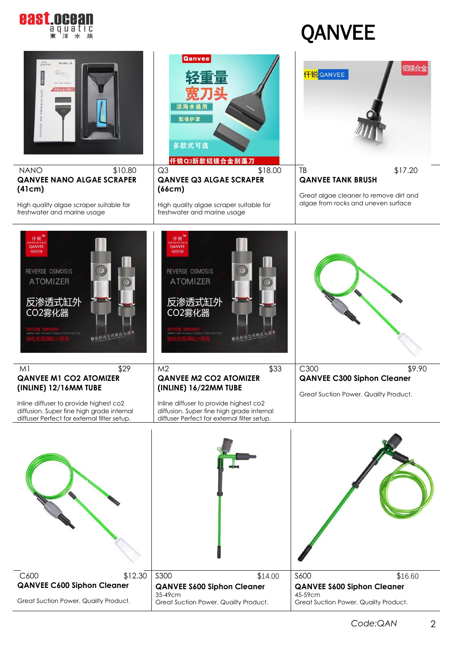

## QANVEE

| <b>GANVER</b><br>NaNo-Q<br><b>NANO</b><br>\$10.80<br><b>QANVEE NANO ALGAE SCRAPER</b><br>(41cm)<br>High quality algae scraper suitable for<br>freshwater and marine usage                                              | Qanvee<br>淡海水通用<br>配保护罩<br>多款式可选<br>仟锐Q3新款铝镁合金刮藻刀<br>Q <sub>3</sub><br>\$18.00<br><b>QANVEE Q3 ALGAE SCRAPER</b><br>(66cm)<br>High quality algae scraper suitable for<br>freshwater and marine usage                   | 铝镁合金<br><mark>仟锐</mark> QANVEE<br>\$17.20<br>TB<br><b>QANVEE TANK BRUSH</b><br>Great algae cleaner to remove dirt and<br>algae from rocks and uneven surface |
|------------------------------------------------------------------------------------------------------------------------------------------------------------------------------------------------------------------------|------------------------------------------------------------------------------------------------------------------------------------------------------------------------------------------------------------------------|--------------------------------------------------------------------------------------------------------------------------------------------------------------|
| 仟锐<br>QANVEE<br>简约而可靠<br>REVERSE OSMOSIS<br><b>ATOMIZER</b><br>反渗透式缸外<br>CO2雾化器<br>SIMPLE AND RELIABLE DISSOLUTION IS BETTER<br>解放缸内空间就这么简单                                                                            | 仟锐<br>QANVEE<br>論約而可靠<br>REVERSE OSMOSIS<br><b>ATOMIZER</b><br>反渗透式缸外<br>CO2雾化器<br>SIMPLE AND RELIABLE DISSOLUTION IS BETTER<br>解放缸内空间就运                                                                               |                                                                                                                                                              |
| \$29<br>M <sub>1</sub><br><b>QANVEE M1 CO2 ATOMIZER</b><br>(INLINE) 12/16MM TUBE<br>Inline diffuser to provide highest co2<br>diffusion. Super fine high grade internal<br>diffuser Perfect for external filter setup. | \$33<br>M <sub>2</sub><br><b>QANVEE M2 CO2 ATOMIZER</b><br>(INLINE) 16/22MM TUBE<br>Inline diffuser to provide highest co2<br>diffusion. Super fine high grade internal<br>diffuser Perfect for external filter setup. | \$9.90<br>C300<br><b>QANVEE C300 Siphon Cleaner</b><br>Great Suction Power. Quailty Product.                                                                 |
|                                                                                                                                                                                                                        |                                                                                                                                                                                                                        |                                                                                                                                                              |
| C600<br>\$12.30<br><b>QANVEE C600 Siphon Cleaner</b><br>Great Suction Power. Quailty Product.                                                                                                                          | <b>S300</b><br>\$14.00<br><b>QANVEE S600 Siphon Cleaner</b><br>35-49cm<br>Great Suction Power. Quailty Product.                                                                                                        | <b>S600</b><br>\$16.60<br><b>QANVEE S600 Siphon Cleaner</b><br>45-59cm<br>Great Suction Power. Quailty Product.                                              |